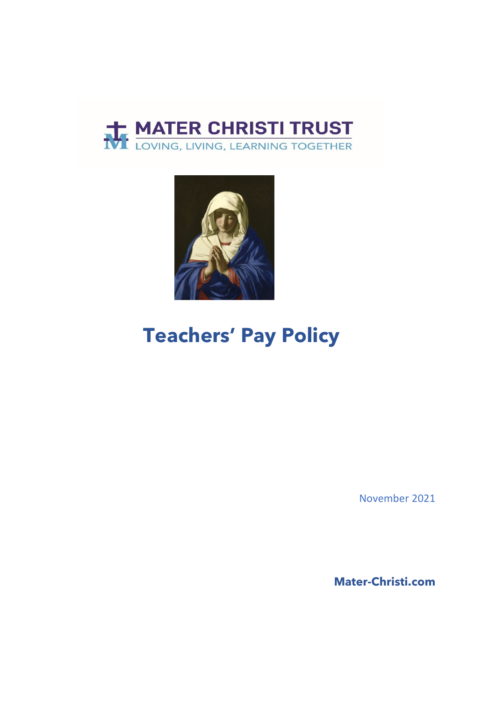



# **Teachers' Pay Policy**

November 2021

**Mater-Christi.com**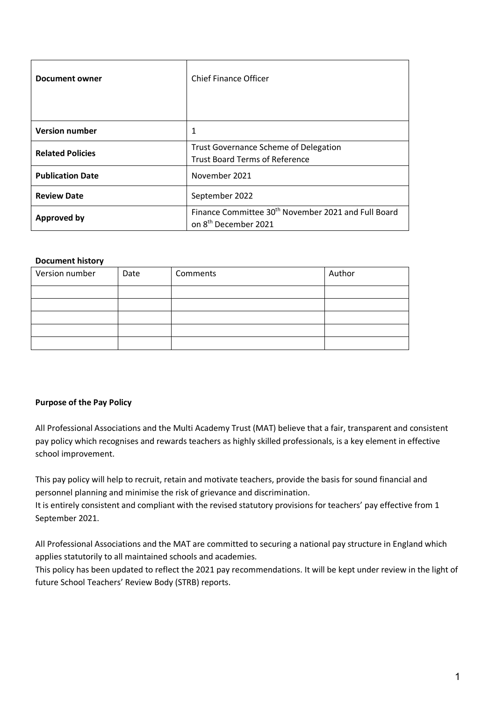| Document owner          | Chief Finance Officer                                                                               |
|-------------------------|-----------------------------------------------------------------------------------------------------|
| <b>Version number</b>   | 1                                                                                                   |
| <b>Related Policies</b> | Trust Governance Scheme of Delegation<br><b>Trust Board Terms of Reference</b>                      |
| <b>Publication Date</b> | November 2021                                                                                       |
| <b>Review Date</b>      | September 2022                                                                                      |
| <b>Approved by</b>      | Finance Committee 30 <sup>th</sup> November 2021 and Full Board<br>on 8 <sup>th</sup> December 2021 |

#### **Document history**

| Version number | Date | Comments | Author |
|----------------|------|----------|--------|
|                |      |          |        |
|                |      |          |        |
|                |      |          |        |
|                |      |          |        |
|                |      |          |        |

#### **Purpose of the Pay Policy**

All Professional Associations and the Multi Academy Trust (MAT) believe that a fair, transparent and consistent pay policy which recognises and rewards teachers as highly skilled professionals, is a key element in effective school improvement.

This pay policy will help to recruit, retain and motivate teachers, provide the basis for sound financial and personnel planning and minimise the risk of grievance and discrimination.

It is entirely consistent and compliant with the revised statutory provisions for teachers' pay effective from 1 September 2021.

All Professional Associations and the MAT are committed to securing a national pay structure in England which applies statutorily to all maintained schools and academies.

This policy has been updated to reflect the 2021 pay recommendations. It will be kept under review in the light of future School Teachers' Review Body (STRB) reports.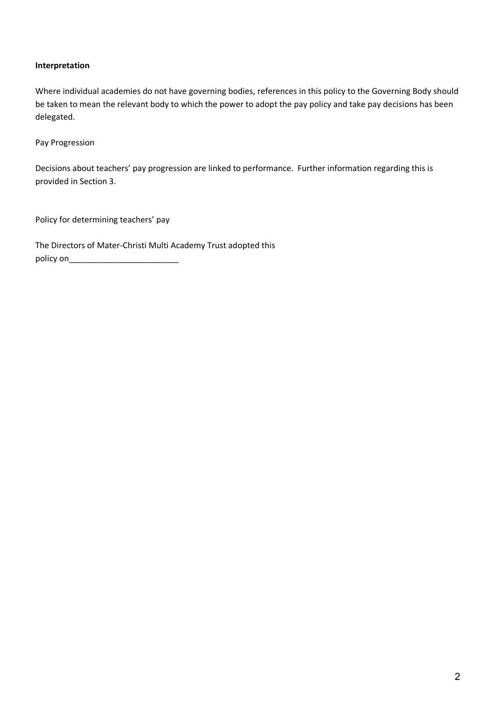#### **Interpretation**

Where individual academies do not have governing bodies, references in this policy to the Governing Body should be taken to mean the relevant body to which the power to adopt the pay policy and take pay decisions has been delegated.

Pay Progression

Decisions about teachers' pay progression are linked to performance. Further information regarding this is provided in Section 3.

Policy for determining teachers' pay

The Directors of Mater-Christi Multi Academy Trust adopted this policy on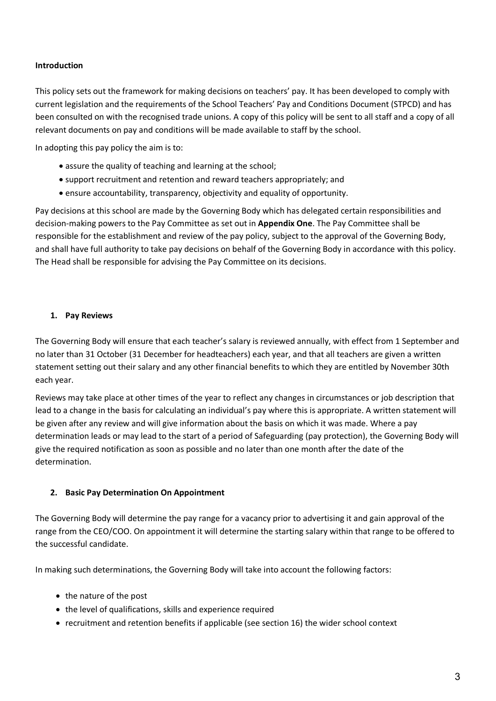#### **Introduction**

This policy sets out the framework for making decisions on teachers' pay. It has been developed to comply with current legislation and the requirements of the School Teachers' Pay and Conditions Document (STPCD) and has been consulted on with the recognised trade unions. A copy of this policy will be sent to all staff and a copy of all relevant documents on pay and conditions will be made available to staff by the school.

In adopting this pay policy the aim is to:

- assure the quality of teaching and learning at the school;
- support recruitment and retention and reward teachers appropriately; and
- ensure accountability, transparency, objectivity and equality of opportunity.

Pay decisions at this school are made by the Governing Body which has delegated certain responsibilities and decision-making powers to the Pay Committee as set out in **Appendix One**. The Pay Committee shall be responsible for the establishment and review of the pay policy, subject to the approval of the Governing Body, and shall have full authority to take pay decisions on behalf of the Governing Body in accordance with this policy. The Head shall be responsible for advising the Pay Committee on its decisions.

#### **1. Pay Reviews**

The Governing Body will ensure that each teacher's salary is reviewed annually, with effect from 1 September and no later than 31 October (31 December for headteachers) each year, and that all teachers are given a written statement setting out their salary and any other financial benefits to which they are entitled by November 30th each year.

Reviews may take place at other times of the year to reflect any changes in circumstances or job description that lead to a change in the basis for calculating an individual's pay where this is appropriate. A written statement will be given after any review and will give information about the basis on which it was made. Where a pay determination leads or may lead to the start of a period of Safeguarding (pay protection), the Governing Body will give the required notification as soon as possible and no later than one month after the date of the determination.

#### **2. Basic Pay Determination On Appointment**

The Governing Body will determine the pay range for a vacancy prior to advertising it and gain approval of the range from the CEO/COO. On appointment it will determine the starting salary within that range to be offered to the successful candidate.

In making such determinations, the Governing Body will take into account the following factors:

- the nature of the post
- the level of qualifications, skills and experience required
- recruitment and retention benefits if applicable (see section 16) the wider school context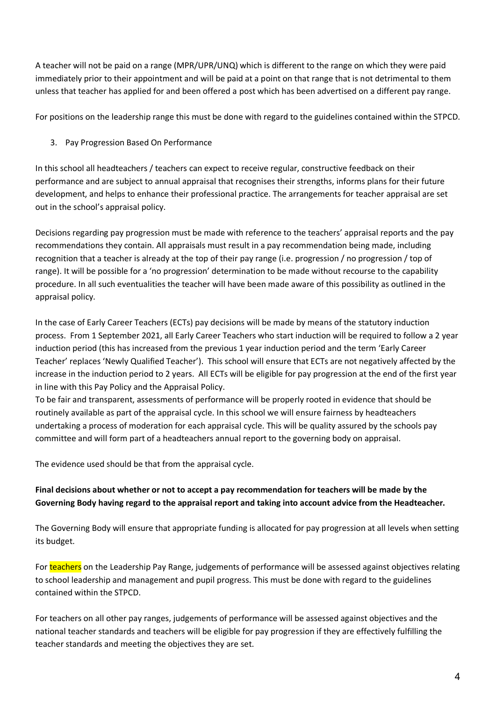A teacher will not be paid on a range (MPR/UPR/UNQ) which is different to the range on which they were paid immediately prior to their appointment and will be paid at a point on that range that is not detrimental to them unless that teacher has applied for and been offered a post which has been advertised on a different pay range.

For positions on the leadership range this must be done with regard to the guidelines contained within the STPCD.

3. Pay Progression Based On Performance

In this school all headteachers / teachers can expect to receive regular, constructive feedback on their performance and are subject to annual appraisal that recognises their strengths, informs plans for their future development, and helps to enhance their professional practice. The arrangements for teacher appraisal are set out in the school's appraisal policy.

Decisions regarding pay progression must be made with reference to the teachers' appraisal reports and the pay recommendations they contain. All appraisals must result in a pay recommendation being made, including recognition that a teacher is already at the top of their pay range (i.e. progression / no progression / top of range). It will be possible for a 'no progression' determination to be made without recourse to the capability procedure. In all such eventualities the teacher will have been made aware of this possibility as outlined in the appraisal policy.

In the case of Early Career Teachers (ECTs) pay decisions will be made by means of the statutory induction process. From 1 September 2021, all Early Career Teachers who start induction will be required to follow a 2 year induction period (this has increased from the previous 1 year induction period and the term 'Early Career Teacher' replaces 'Newly Qualified Teacher'). This school will ensure that ECTs are not negatively affected by the increase in the induction period to 2 years. All ECTs will be eligible for pay progression at the end of the first year in line with this Pay Policy and the Appraisal Policy.

To be fair and transparent, assessments of performance will be properly rooted in evidence that should be routinely available as part of the appraisal cycle. In this school we will ensure fairness by headteachers undertaking a process of moderation for each appraisal cycle. This will be quality assured by the schools pay committee and will form part of a headteachers annual report to the governing body on appraisal.

The evidence used should be that from the appraisal cycle.

## **Final decisions about whether or not to accept a pay recommendation for teachers will be made by the Governing Body having regard to the appraisal report and taking into account advice from the Headteacher.**

The Governing Body will ensure that appropriate funding is allocated for pay progression at all levels when setting its budget.

For teachers on the Leadership Pay Range, judgements of performance will be assessed against objectives relating to school leadership and management and pupil progress. This must be done with regard to the guidelines contained within the STPCD.

For teachers on all other pay ranges, judgements of performance will be assessed against objectives and the national teacher standards and teachers will be eligible for pay progression if they are effectively fulfilling the teacher standards and meeting the objectives they are set.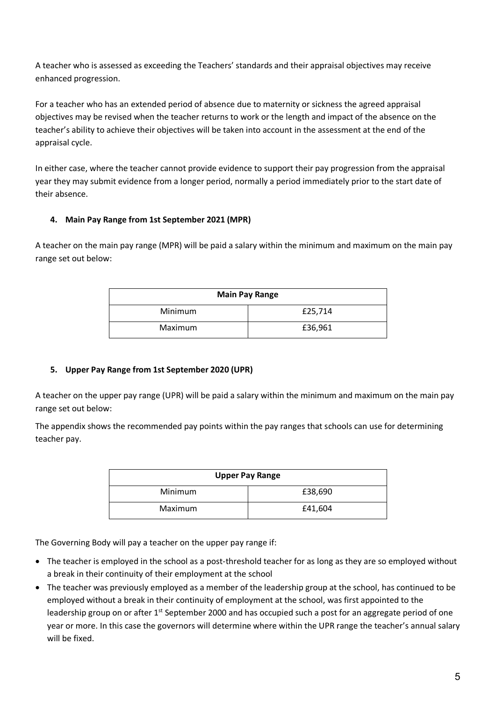A teacher who is assessed as exceeding the Teachers' standards and their appraisal objectives may receive enhanced progression.

For a teacher who has an extended period of absence due to maternity or sickness the agreed appraisal objectives may be revised when the teacher returns to work or the length and impact of the absence on the teacher's ability to achieve their objectives will be taken into account in the assessment at the end of the appraisal cycle.

In either case, where the teacher cannot provide evidence to support their pay progression from the appraisal year they may submit evidence from a longer period, normally a period immediately prior to the start date of their absence.

## **4. Main Pay Range from 1st September 2021 (MPR)**

A teacher on the main pay range (MPR) will be paid a salary within the minimum and maximum on the main pay range set out below:

| <b>Main Pay Range</b> |         |  |
|-----------------------|---------|--|
| Minimum               | £25,714 |  |
| Maximum               | £36,961 |  |

#### **5. Upper Pay Range from 1st September 2020 (UPR)**

A teacher on the upper pay range (UPR) will be paid a salary within the minimum and maximum on the main pay range set out below:

The appendix shows the recommended pay points within the pay ranges that schools can use for determining teacher pay.

| <b>Upper Pay Range</b> |         |  |
|------------------------|---------|--|
| Minimum                | £38,690 |  |
| Maximum                | £41,604 |  |

The Governing Body will pay a teacher on the upper pay range if:

- The teacher is employed in the school as a post-threshold teacher for as long as they are so employed without a break in their continuity of their employment at the school
- The teacher was previously employed as a member of the leadership group at the school, has continued to be employed without a break in their continuity of employment at the school, was first appointed to the leadership group on or after 1<sup>st</sup> September 2000 and has occupied such a post for an aggregate period of one year or more. In this case the governors will determine where within the UPR range the teacher's annual salary will be fixed.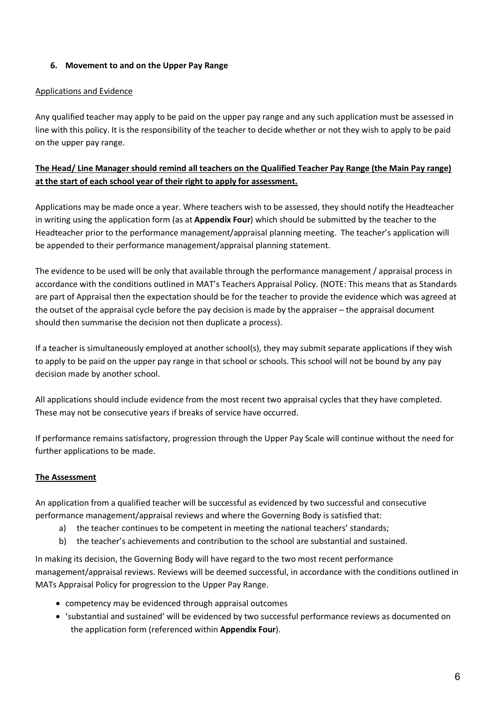## **6. Movement to and on the Upper Pay Range**

## Applications and Evidence

Any qualified teacher may apply to be paid on the upper pay range and any such application must be assessed in line with this policy. It is the responsibility of the teacher to decide whether or not they wish to apply to be paid on the upper pay range.

## **The Head/ Line Manager should remind all teachers on the Qualified Teacher Pay Range (the Main Pay range) at the start of each school year of their right to apply for assessment.**

Applications may be made once a year. Where teachers wish to be assessed, they should notify the Headteacher in writing using the application form (as at **Appendix Four**) which should be submitted by the teacher to the Headteacher prior to the performance management/appraisal planning meeting. The teacher's application will be appended to their performance management/appraisal planning statement.

The evidence to be used will be only that available through the performance management / appraisal process in accordance with the conditions outlined in MAT's Teachers Appraisal Policy. (NOTE: This means that as Standards are part of Appraisal then the expectation should be for the teacher to provide the evidence which was agreed at the outset of the appraisal cycle before the pay decision is made by the appraiser – the appraisal document should then summarise the decision not then duplicate a process).

If a teacher is simultaneously employed at another school(s), they may submit separate applications if they wish to apply to be paid on the upper pay range in that school or schools. This school will not be bound by any pay decision made by another school.

All applications should include evidence from the most recent two appraisal cycles that they have completed. These may not be consecutive years if breaks of service have occurred.

If performance remains satisfactory, progression through the Upper Pay Scale will continue without the need for further applications to be made.

## **The Assessment**

An application from a qualified teacher will be successful as evidenced by two successful and consecutive performance management/appraisal reviews and where the Governing Body is satisfied that:

- a) the teacher continues to be competent in meeting the national teachers' standards;
- b) the teacher's achievements and contribution to the school are substantial and sustained.

In making its decision, the Governing Body will have regard to the two most recent performance management/appraisal reviews. Reviews will be deemed successful, in accordance with the conditions outlined in MATs Appraisal Policy for progression to the Upper Pay Range.

- competency may be evidenced through appraisal outcomes
- 'substantial and sustained' will be evidenced by two successful performance reviews as documented on the application form (referenced within **Appendix Four**).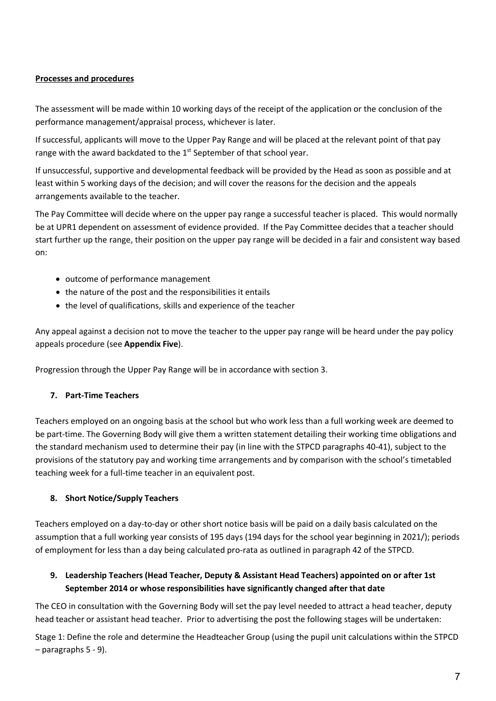## **Processes and procedures**

The assessment will be made within 10 working days of the receipt of the application or the conclusion of the performance management/appraisal process, whichever is later.

If successful, applicants will move to the Upper Pay Range and will be placed at the relevant point of that pay range with the award backdated to the 1<sup>st</sup> September of that school year.

If unsuccessful, supportive and developmental feedback will be provided by the Head as soon as possible and at least within 5 working days of the decision; and will cover the reasons for the decision and the appeals arrangements available to the teacher.

The Pay Committee will decide where on the upper pay range a successful teacher is placed. This would normally be at UPR1 dependent on assessment of evidence provided. If the Pay Committee decides that a teacher should start further up the range, their position on the upper pay range will be decided in a fair and consistent way based on:

- outcome of performance management
- the nature of the post and the responsibilities it entails
- the level of qualifications, skills and experience of the teacher

Any appeal against a decision not to move the teacher to the upper pay range will be heard under the pay policy appeals procedure (see **Appendix Five**).

Progression through the Upper Pay Range will be in accordance with section 3.

#### **7. Part-Time Teachers**

Teachers employed on an ongoing basis at the school but who work less than a full working week are deemed to be part-time. The Governing Body will give them a written statement detailing their working time obligations and the standard mechanism used to determine their pay (in line with the STPCD paragraphs 40-41), subject to the provisions of the statutory pay and working time arrangements and by comparison with the school's timetabled teaching week for a full-time teacher in an equivalent post.

#### **8. Short Notice/Supply Teachers**

Teachers employed on a day-to-day or other short notice basis will be paid on a daily basis calculated on the assumption that a full working year consists of 195 days (194 days for the school year beginning in 2021/); periods of employment for less than a day being calculated pro-rata as outlined in paragraph 42 of the STPCD.

## **9. Leadership Teachers (Head Teacher, Deputy & Assistant Head Teachers) appointed on or after 1st September 2014 or whose responsibilities have significantly changed after that date**

The CEO in consultation with the Governing Body will set the pay level needed to attract a head teacher, deputy head teacher or assistant head teacher. Prior to advertising the post the following stages will be undertaken:

Stage 1: Define the role and determine the Headteacher Group (using the pupil unit calculations within the STPCD – paragraphs 5 - 9).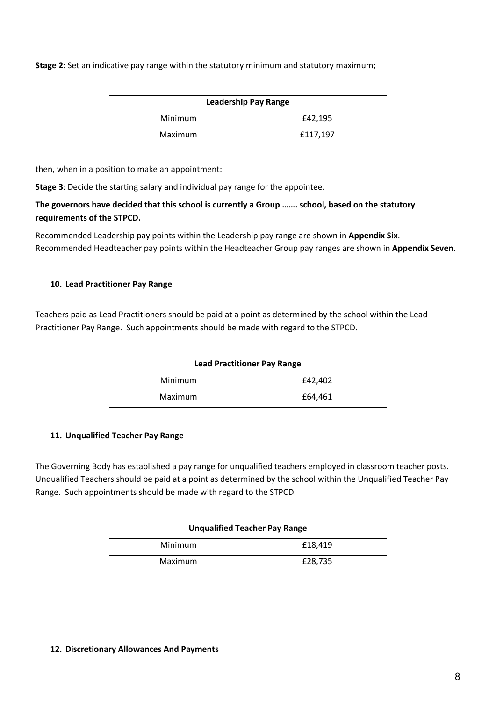**Stage 2**: Set an indicative pay range within the statutory minimum and statutory maximum;

| <b>Leadership Pay Range</b> |          |  |
|-----------------------------|----------|--|
| Minimum                     | £42,195  |  |
| Maximum                     | £117,197 |  |

then, when in a position to make an appointment:

**Stage 3**: Decide the starting salary and individual pay range for the appointee.

## **The governors have decided that this school is currently a Group ……. school, based on the statutory requirements of the STPCD.**

Recommended Leadership pay points within the Leadership pay range are shown in **Appendix Six**. Recommended Headteacher pay points within the Headteacher Group pay ranges are shown in **Appendix Seven**.

#### **10. Lead Practitioner Pay Range**

Teachers paid as Lead Practitioners should be paid at a point as determined by the school within the Lead Practitioner Pay Range. Such appointments should be made with regard to the STPCD.

| <b>Lead Practitioner Pay Range</b> |         |  |
|------------------------------------|---------|--|
| Minimum                            | £42,402 |  |
| Maximum                            | £64,461 |  |

#### **11. Unqualified Teacher Pay Range**

The Governing Body has established a pay range for unqualified teachers employed in classroom teacher posts. Unqualified Teachers should be paid at a point as determined by the school within the Unqualified Teacher Pay Range. Such appointments should be made with regard to the STPCD.

| <b>Unqualified Teacher Pay Range</b> |         |  |
|--------------------------------------|---------|--|
| Minimum                              | £18,419 |  |
| Maximum                              | £28,735 |  |

#### **12. Discretionary Allowances And Payments**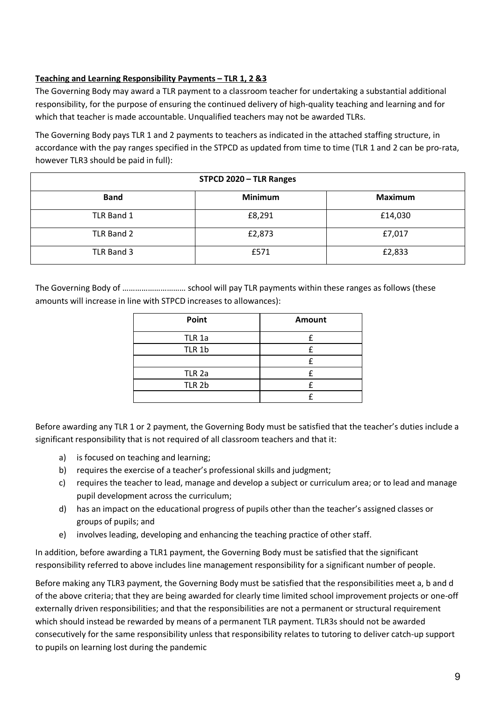## **Teaching and Learning Responsibility Payments – TLR 1, 2 &3**

The Governing Body may award a TLR payment to a classroom teacher for undertaking a substantial additional responsibility, for the purpose of ensuring the continued delivery of high-quality teaching and learning and for which that teacher is made accountable. Unqualified teachers may not be awarded TLRs.

The Governing Body pays TLR 1 and 2 payments to teachers as indicated in the attached staffing structure, in accordance with the pay ranges specified in the STPCD as updated from time to time (TLR 1 and 2 can be pro-rata, however TLR3 should be paid in full):

| STPCD 2020 - TLR Ranges |                |                |
|-------------------------|----------------|----------------|
| <b>Band</b>             | <b>Minimum</b> | <b>Maximum</b> |
| TLR Band 1              | £8,291         | £14,030        |
| TLR Band 2              | £2,873         | £7,017         |
| TLR Band 3              | £571           | £2,833         |

The Governing Body of ………………………… school will pay TLR payments within these ranges as follows (these amounts will increase in line with STPCD increases to allowances):

| Point             | Amount |
|-------------------|--------|
| TLR 1a            |        |
| TLR 1b            | f      |
|                   |        |
| TLR <sub>2a</sub> |        |
| TLR 2b            |        |
|                   |        |

Before awarding any TLR 1 or 2 payment, the Governing Body must be satisfied that the teacher's duties include a significant responsibility that is not required of all classroom teachers and that it:

- a) is focused on teaching and learning;
- b) requires the exercise of a teacher's professional skills and judgment;
- c) requires the teacher to lead, manage and develop a subject or curriculum area; or to lead and manage pupil development across the curriculum;
- d) has an impact on the educational progress of pupils other than the teacher's assigned classes or groups of pupils; and
- e) involves leading, developing and enhancing the teaching practice of other staff.

In addition, before awarding a TLR1 payment, the Governing Body must be satisfied that the significant responsibility referred to above includes line management responsibility for a significant number of people.

Before making any TLR3 payment, the Governing Body must be satisfied that the responsibilities meet a, b and d of the above criteria; that they are being awarded for clearly time limited school improvement projects or one-off externally driven responsibilities; and that the responsibilities are not a permanent or structural requirement which should instead be rewarded by means of a permanent TLR payment. TLR3s should not be awarded consecutively for the same responsibility unless that responsibility relates to tutoring to deliver catch-up support to pupils on learning lost during the pandemic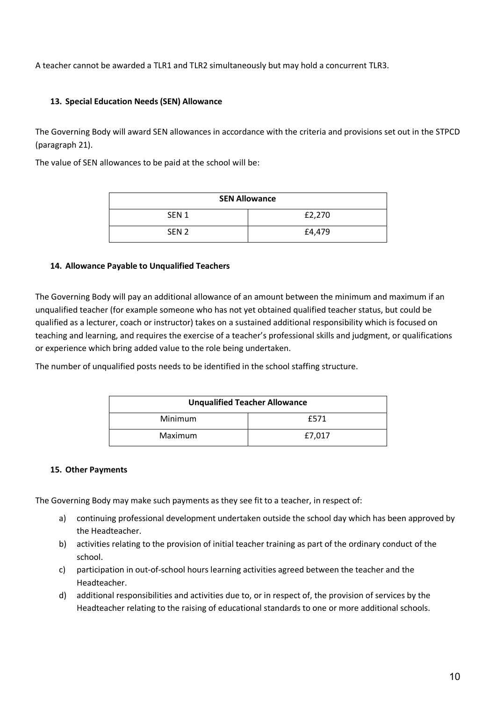A teacher cannot be awarded a TLR1 and TLR2 simultaneously but may hold a concurrent TLR3.

## **13. Special Education Needs (SEN) Allowance**

The Governing Body will award SEN allowances in accordance with the criteria and provisions set out in the STPCD (paragraph 21).

The value of SEN allowances to be paid at the school will be:

| <b>SEN Allowance</b> |        |  |
|----------------------|--------|--|
| SEN <sub>1</sub>     | £2,270 |  |
| SEN <sub>2</sub>     | £4,479 |  |

#### **14. Allowance Payable to Unqualified Teachers**

The Governing Body will pay an additional allowance of an amount between the minimum and maximum if an unqualified teacher (for example someone who has not yet obtained qualified teacher status, but could be qualified as a lecturer, coach or instructor) takes on a sustained additional responsibility which is focused on teaching and learning, and requires the exercise of a teacher's professional skills and judgment, or qualifications or experience which bring added value to the role being undertaken.

The number of unqualified posts needs to be identified in the school staffing structure.

| <b>Unqualified Teacher Allowance</b> |        |
|--------------------------------------|--------|
| Minimum                              | £571   |
| Maximum                              | £7,017 |

#### **15. Other Payments**

The Governing Body may make such payments as they see fit to a teacher, in respect of:

- a) continuing professional development undertaken outside the school day which has been approved by the Headteacher.
- b) activities relating to the provision of initial teacher training as part of the ordinary conduct of the school.
- c) participation in out-of-school hours learning activities agreed between the teacher and the Headteacher.
- d) additional responsibilities and activities due to, or in respect of, the provision of services by the Headteacher relating to the raising of educational standards to one or more additional schools.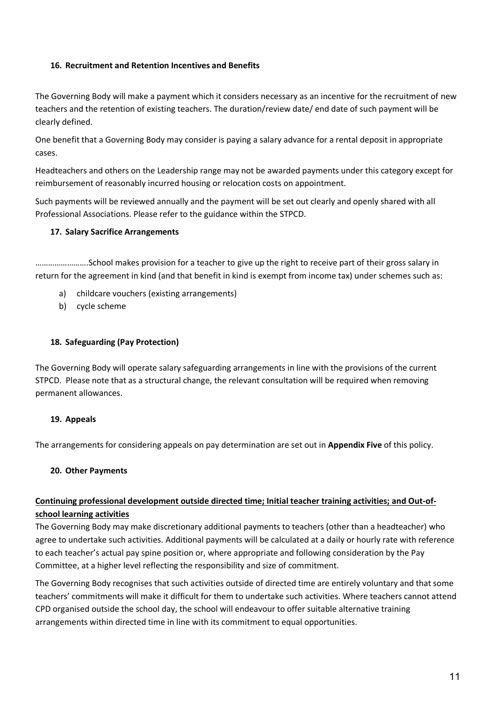## **16. Recruitment and Retention Incentives and Benefits**

The Governing Body will make a payment which it considers necessary as an incentive for the recruitment of new teachers and the retention of existing teachers. The duration/review date/ end date of such payment will be clearly defined.

One benefit that a Governing Body may consider is paying a salary advance for a rental deposit in appropriate cases.

Headteachers and others on the Leadership range may not be awarded payments under this category except for reimbursement of reasonably incurred housing or relocation costs on appointment.

Such payments will be reviewed annually and the payment will be set out clearly and openly shared with all Professional Associations. Please refer to the guidance within the STPCD.

#### **17. Salary Sacrifice Arrangements**

…………………….School makes provision for a teacher to give up the right to receive part of their gross salary in return for the agreement in kind (and that benefit in kind is exempt from income tax) under schemes such as:

- a) childcare vouchers (existing arrangements)
- b) cycle scheme

## **18. Safeguarding (Pay Protection)**

The Governing Body will operate salary safeguarding arrangements in line with the provisions of the current STPCD. Please note that as a structural change, the relevant consultation will be required when removing permanent allowances.

#### **19. Appeals**

The arrangements for considering appeals on pay determination are set out in **Appendix Five** of this policy.

#### **20. Other Payments**

## **Continuing professional development outside directed time; Initial teacher training activities; and Out-ofschool learning activities**

The Governing Body may make discretionary additional payments to teachers (other than a headteacher) who agree to undertake such activities. Additional payments will be calculated at a daily or hourly rate with reference to each teacher's actual pay spine position or, where appropriate and following consideration by the Pay Committee, at a higher level reflecting the responsibility and size of commitment.

The Governing Body recognises that such activities outside of directed time are entirely voluntary and that some teachers' commitments will make it difficult for them to undertake such activities. Where teachers cannot attend CPD organised outside the school day, the school will endeavour to offer suitable alternative training arrangements within directed time in line with its commitment to equal opportunities.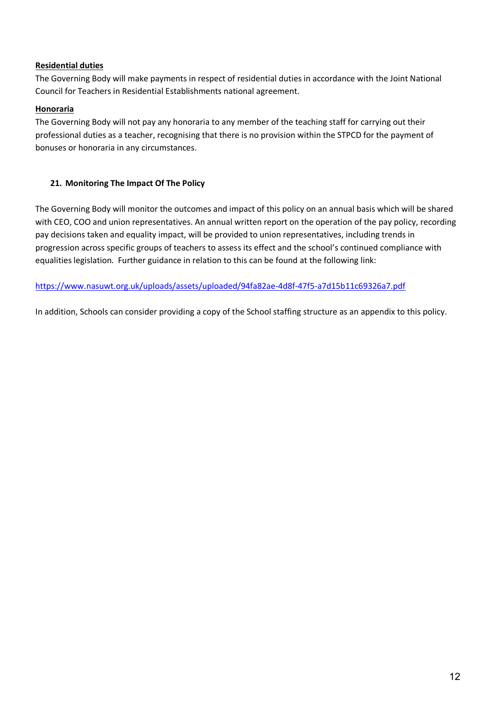## **Residential duties**

The Governing Body will make payments in respect of residential duties in accordance with the Joint National Council for Teachers in Residential Establishments national agreement.

## **Honoraria**

The Governing Body will not pay any honoraria to any member of the teaching staff for carrying out their professional duties as a teacher, recognising that there is no provision within the STPCD for the payment of bonuses or honoraria in any circumstances.

## **21. Monitoring The Impact Of The Policy**

The Governing Body will monitor the outcomes and impact of this policy on an annual basis which will be shared with CEO, COO and union representatives. An annual written report on the operation of the pay policy, recording pay decisions taken and equality impact, will be provided to union representatives, including trends in progression across specific groups of teachers to assess its effect and the school's continued compliance with equalities legislation. Further guidance in relation to this can be found at the following link:

## <https://www.nasuwt.org.uk/uploads/assets/uploaded/94fa82ae-4d8f-47f5-a7d15b11c69326a7.pdf>

In addition, Schools can consider providing a copy of the School staffing structure as an appendix to this policy.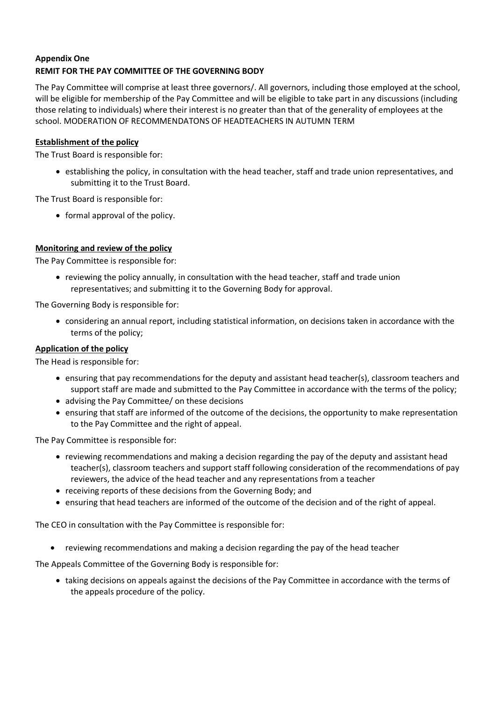## **Appendix One REMIT FOR THE PAY COMMITTEE OF THE GOVERNING BODY**

The Pay Committee will comprise at least three governors/. All governors, including those employed at the school, will be eligible for membership of the Pay Committee and will be eligible to take part in any discussions (including those relating to individuals) where their interest is no greater than that of the generality of employees at the school. MODERATION OF RECOMMENDATONS OF HEADTEACHERS IN AUTUMN TERM

## **Establishment of the policy**

The Trust Board is responsible for:

• establishing the policy, in consultation with the head teacher, staff and trade union representatives, and submitting it to the Trust Board.

The Trust Board is responsible for:

• formal approval of the policy.

#### **Monitoring and review of the policy**

The Pay Committee is responsible for:

• reviewing the policy annually, in consultation with the head teacher, staff and trade union representatives; and submitting it to the Governing Body for approval.

The Governing Body is responsible for:

• considering an annual report, including statistical information, on decisions taken in accordance with the terms of the policy;

## **Application of the policy**

The Head is responsible for:

- ensuring that pay recommendations for the deputy and assistant head teacher(s), classroom teachers and support staff are made and submitted to the Pay Committee in accordance with the terms of the policy;
- advising the Pay Committee/ on these decisions
- ensuring that staff are informed of the outcome of the decisions, the opportunity to make representation to the Pay Committee and the right of appeal.

The Pay Committee is responsible for:

- reviewing recommendations and making a decision regarding the pay of the deputy and assistant head teacher(s), classroom teachers and support staff following consideration of the recommendations of pay reviewers, the advice of the head teacher and any representations from a teacher
- receiving reports of these decisions from the Governing Body; and
- ensuring that head teachers are informed of the outcome of the decision and of the right of appeal.

The CEO in consultation with the Pay Committee is responsible for:

• reviewing recommendations and making a decision regarding the pay of the head teacher

The Appeals Committee of the Governing Body is responsible for:

• taking decisions on appeals against the decisions of the Pay Committee in accordance with the terms of the appeals procedure of the policy.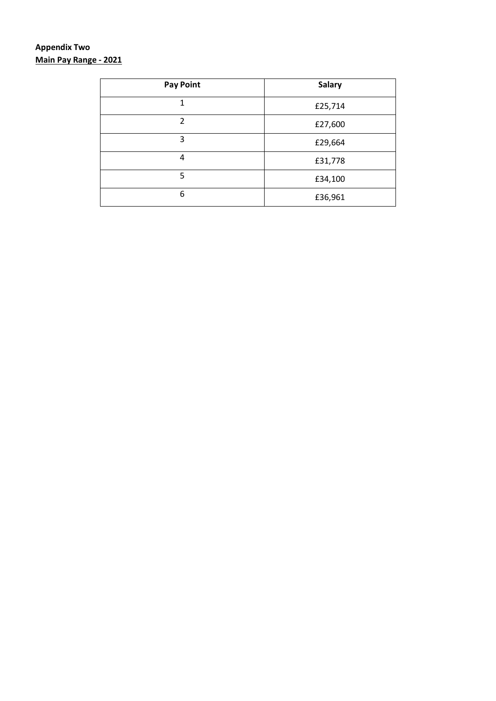# **Appendix Two Main Pay Range - 2021**

| <b>Pay Point</b> | <b>Salary</b> |
|------------------|---------------|
| $\mathbf{1}$     | £25,714       |
| $\overline{2}$   | £27,600       |
| 3                | £29,664       |
| 4                | £31,778       |
| 5                | £34,100       |
| 6                | £36,961       |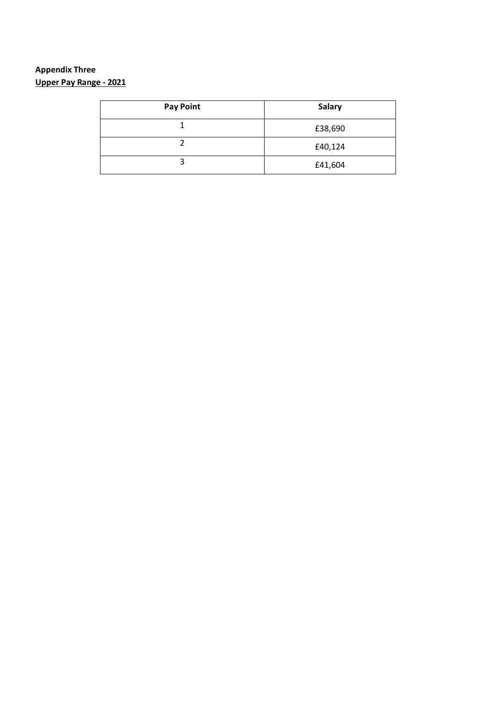# **Appendix Three Upper Pay Range - 2021**

| <b>Pay Point</b> | <b>Salary</b> |
|------------------|---------------|
|                  | £38,690       |
|                  | £40,124       |
| ┑                | £41,604       |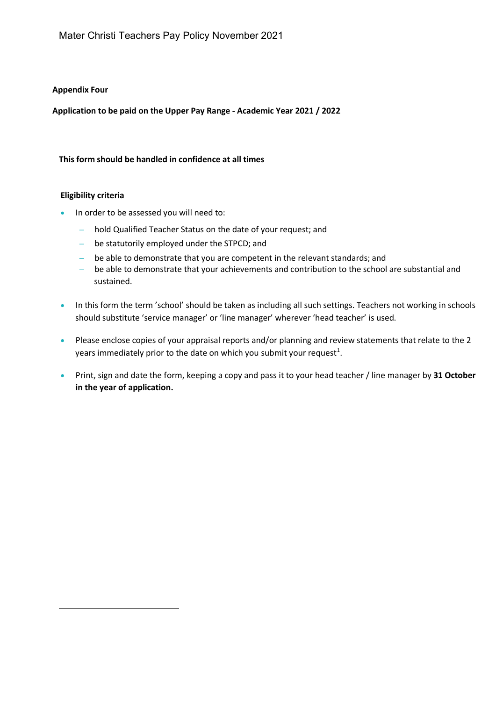#### **Appendix Four**

**Application to be paid on the Upper Pay Range - Academic Year 2021 / 2022** 

#### **This form should be handled in confidence at all times**

#### **Eligibility criteria**

- In order to be assessed you will need to:
	- hold Qualified Teacher Status on the date of your request; and
	- be statutorily employed under the STPCD; and
	- be able to demonstrate that you are competent in the relevant standards; and
	- be able to demonstrate that your achievements and contribution to the school are substantial and sustained.
- In this form the term 'school' should be taken as including all such settings. Teachers not working in schools should substitute 'service manager' or 'line manager' wherever 'head teacher' is used.
- Please enclose copies of your appraisal reports and/or planning and review statements that relate to the 2 years immediately prior to the date on which you submit your request<sup>[1](#page-16-0)</sup>.
- <span id="page-16-0"></span>• Print, sign and date the form, keeping a copy and pass it to your head teacher / line manager by **31 October in the year of application.**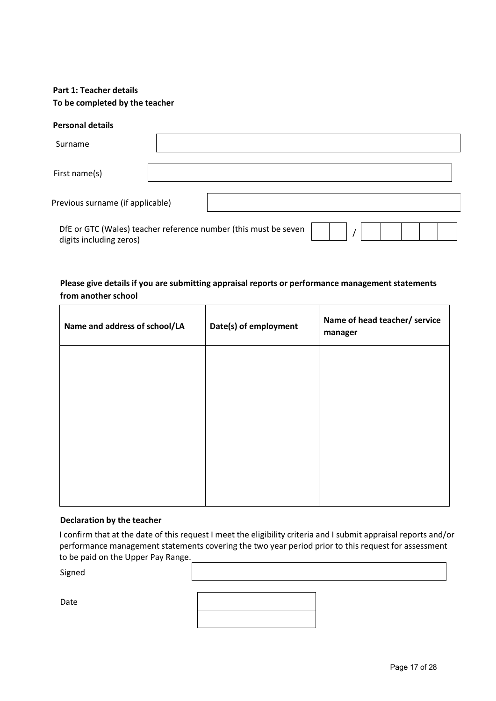## **Part 1: Teacher details To be completed by the teacher**

#### **Personal details**

| Surname                          |                                                                 |  |
|----------------------------------|-----------------------------------------------------------------|--|
| First name(s)                    |                                                                 |  |
| Previous surname (if applicable) |                                                                 |  |
| digits including zeros)          | DfE or GTC (Wales) teacher reference number (this must be seven |  |

#### **Please give details if you are submitting appraisal reports or performance management statements from another school**

| Name and address of school/LA | Date(s) of employment | Name of head teacher/ service<br>manager |
|-------------------------------|-----------------------|------------------------------------------|
|                               |                       |                                          |
|                               |                       |                                          |
|                               |                       |                                          |
|                               |                       |                                          |

#### **Declaration by the teacher**

I confirm that at the date of this request I meet the eligibility criteria and I submit appraisal reports and/or performance management statements covering the two year period prior to this request for assessment to be paid on the Upper Pay Range.

Signed

Date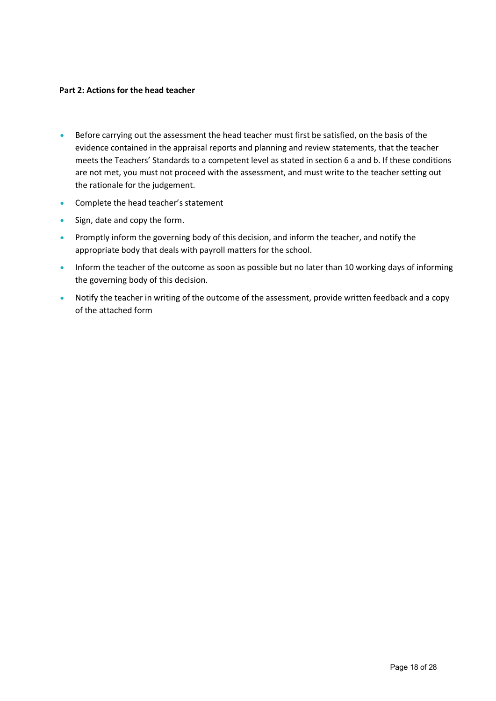#### **Part 2: Actions for the head teacher**

- Before carrying out the assessment the head teacher must first be satisfied, on the basis of the evidence contained in the appraisal reports and planning and review statements, that the teacher meets the Teachers' Standards to a competent level as stated in section 6 a and b. If these conditions are not met, you must not proceed with the assessment, and must write to the teacher setting out the rationale for the judgement.
- Complete the head teacher's statement
- Sign, date and copy the form.
- Promptly inform the governing body of this decision, and inform the teacher, and notify the appropriate body that deals with payroll matters for the school.
- Inform the teacher of the outcome as soon as possible but no later than 10 working days of informing the governing body of this decision.
- Notify the teacher in writing of the outcome of the assessment, provide written feedback and a copy of the attached form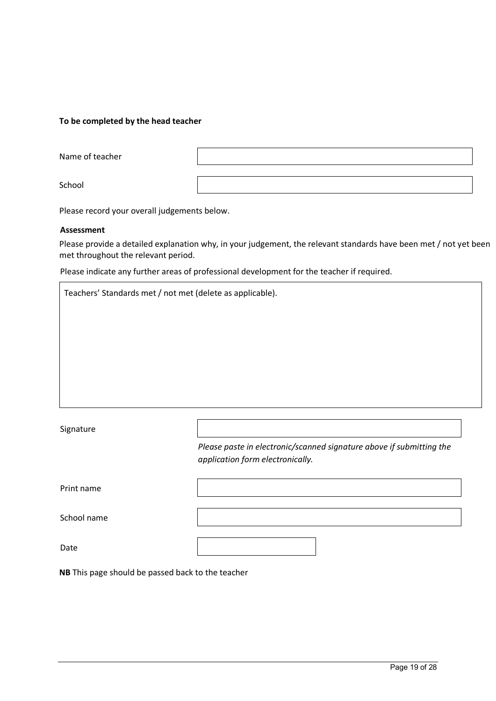#### **To be completed by the head teacher**

Name of teacher

School

Please record your overall judgements below.

#### **Assessment**

Please provide a detailed explanation why, in your judgement, the relevant standards have been met / not yet been met throughout the relevant period.

Please indicate any further areas of professional development for the teacher if required.

| Teachers' Standards met / not met (delete as applicable). |                                                                                                          |  |  |
|-----------------------------------------------------------|----------------------------------------------------------------------------------------------------------|--|--|
|                                                           |                                                                                                          |  |  |
|                                                           |                                                                                                          |  |  |
|                                                           |                                                                                                          |  |  |
|                                                           |                                                                                                          |  |  |
|                                                           |                                                                                                          |  |  |
| Signature                                                 |                                                                                                          |  |  |
|                                                           | Please paste in electronic/scanned signature above if submitting the<br>application form electronically. |  |  |
| Print name                                                |                                                                                                          |  |  |
| School name                                               |                                                                                                          |  |  |
| Date                                                      |                                                                                                          |  |  |
| NB This page should be passed back to the teacher         |                                                                                                          |  |  |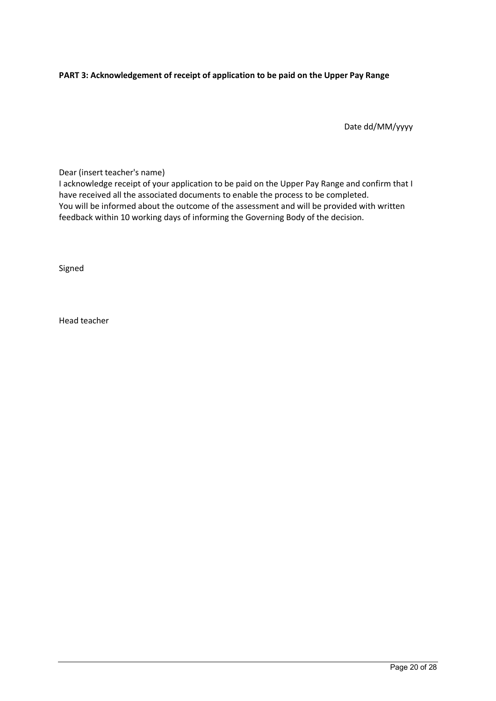#### **PART 3: Acknowledgement of receipt of application to be paid on the Upper Pay Range**

Date dd/MM/yyyy

Dear (insert teacher's name)

I acknowledge receipt of your application to be paid on the Upper Pay Range and confirm that I have received all the associated documents to enable the process to be completed. You will be informed about the outcome of the assessment and will be provided with written feedback within 10 working days of informing the Governing Body of the decision.

Signed

Head teacher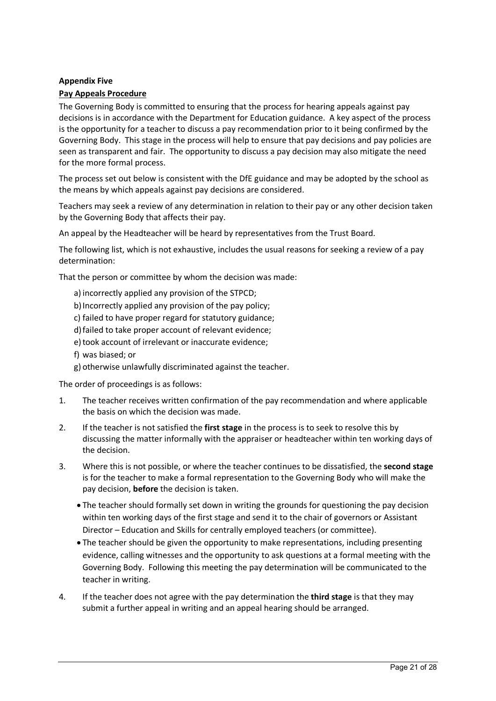#### **Appendix Five**

#### **Pay Appeals Procedure**

The Governing Body is committed to ensuring that the process for hearing appeals against pay decisions is in accordance with the Department for Education guidance. A key aspect of the process is the opportunity for a teacher to discuss a pay recommendation prior to it being confirmed by the Governing Body. This stage in the process will help to ensure that pay decisions and pay policies are seen as transparent and fair. The opportunity to discuss a pay decision may also mitigate the need for the more formal process.

The process set out below is consistent with the DfE guidance and may be adopted by the school as the means by which appeals against pay decisions are considered.

Teachers may seek a review of any determination in relation to their pay or any other decision taken by the Governing Body that affects their pay.

An appeal by the Headteacher will be heard by representatives from the Trust Board.

The following list, which is not exhaustive, includes the usual reasons for seeking a review of a pay determination:

That the person or committee by whom the decision was made:

- a) incorrectly applied any provision of the STPCD;
- b) Incorrectly applied any provision of the pay policy;
- c) failed to have proper regard for statutory guidance;
- d)failed to take proper account of relevant evidence;
- e) took account of irrelevant or inaccurate evidence;
- f) was biased; or
- g) otherwise unlawfully discriminated against the teacher.

The order of proceedings is as follows:

- 1. The teacher receives written confirmation of the pay recommendation and where applicable the basis on which the decision was made.
- 2. If the teacher is not satisfied the **first stage** in the process is to seek to resolve this by discussing the matter informally with the appraiser or headteacher within ten working days of the decision.
- 3. Where this is not possible, or where the teacher continues to be dissatisfied, the **second stage** is for the teacher to make a formal representation to the Governing Body who will make the pay decision, **before** the decision is taken.
	- The teacher should formally set down in writing the grounds for questioning the pay decision within ten working days of the first stage and send it to the chair of governors or Assistant Director – Education and Skills for centrally employed teachers (or committee).
	- The teacher should be given the opportunity to make representations, including presenting evidence, calling witnesses and the opportunity to ask questions at a formal meeting with the Governing Body. Following this meeting the pay determination will be communicated to the teacher in writing.
- 4. If the teacher does not agree with the pay determination the **third stage** is that they may submit a further appeal in writing and an appeal hearing should be arranged.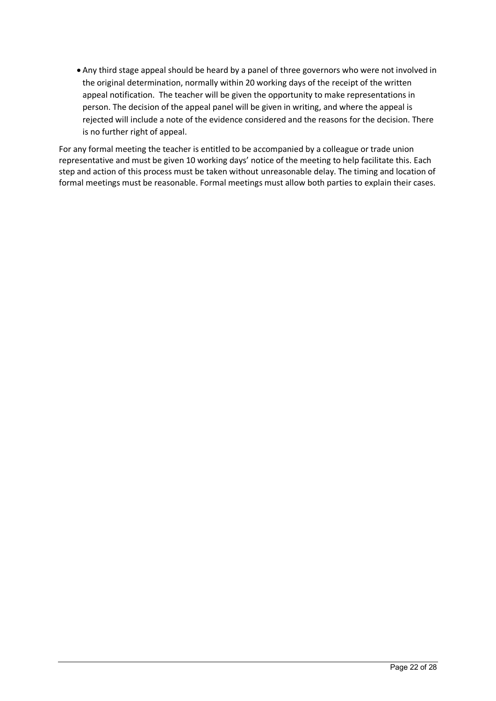• Any third stage appeal should be heard by a panel of three governors who were not involved in the original determination, normally within 20 working days of the receipt of the written appeal notification. The teacher will be given the opportunity to make representations in person. The decision of the appeal panel will be given in writing, and where the appeal is rejected will include a note of the evidence considered and the reasons for the decision. There is no further right of appeal.

For any formal meeting the teacher is entitled to be accompanied by a colleague or trade union representative and must be given 10 working days' notice of the meeting to help facilitate this. Each step and action of this process must be taken without unreasonable delay. The timing and location of formal meetings must be reasonable. Formal meetings must allow both parties to explain their cases.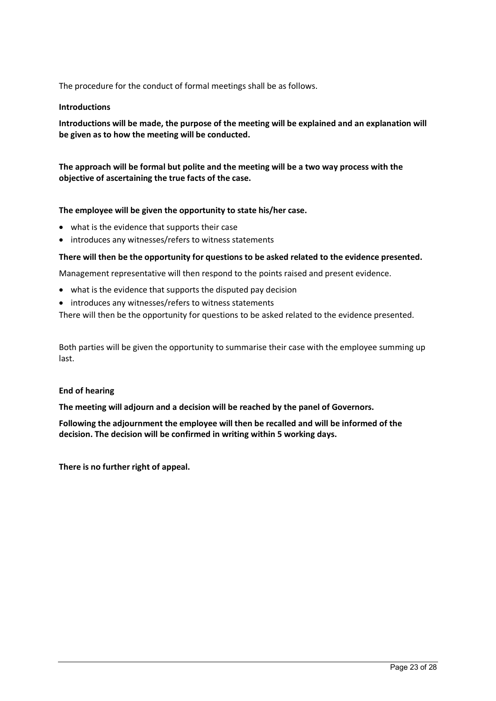The procedure for the conduct of formal meetings shall be as follows.

#### **Introductions**

**Introductions will be made, the purpose of the meeting will be explained and an explanation will be given as to how the meeting will be conducted.** 

**The approach will be formal but polite and the meeting will be a two way process with the objective of ascertaining the true facts of the case.** 

#### **The employee will be given the opportunity to state his/her case.**

- what is the evidence that supports their case
- introduces any witnesses/refers to witness statements

#### **There will then be the opportunity for questions to be asked related to the evidence presented.**

Management representative will then respond to the points raised and present evidence.

- what is the evidence that supports the disputed pay decision
- introduces any witnesses/refers to witness statements

There will then be the opportunity for questions to be asked related to the evidence presented.

Both parties will be given the opportunity to summarise their case with the employee summing up last.

#### **End of hearing**

**The meeting will adjourn and a decision will be reached by the panel of Governors.** 

**Following the adjournment the employee will then be recalled and will be informed of the decision. The decision will be confirmed in writing within 5 working days.** 

**There is no further right of appeal.**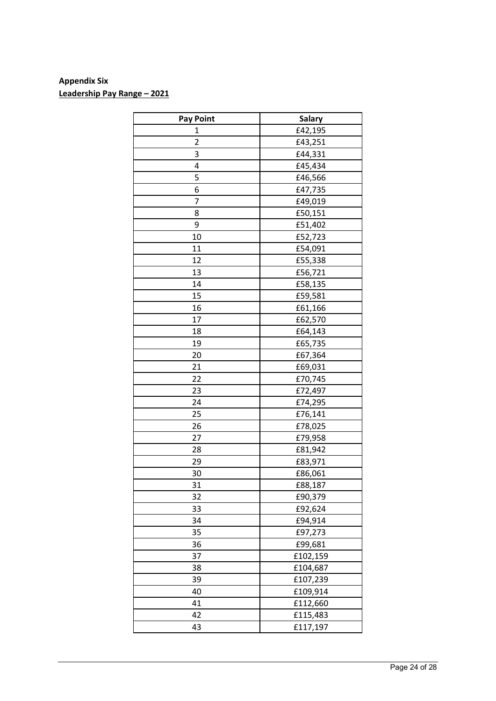# **Appendix Six Leadership Pay Range – 2021**

| <b>Pay Point</b> | <b>Salary</b> |
|------------------|---------------|
| 1                | £42,195       |
| $\overline{2}$   | £43,251       |
| 3                | £44,331       |
| 4                | £45,434       |
| 5                | £46,566       |
| 6                | £47,735       |
| 7                | £49,019       |
| 8                | £50,151       |
| 9                | £51,402       |
| 10               | £52,723       |
| 11               | £54,091       |
| 12               | £55,338       |
| 13               | £56,721       |
| 14               | £58,135       |
| 15               | £59,581       |
| 16               | £61,166       |
| 17               | £62,570       |
| 18               | £64,143       |
| 19               | £65,735       |
| 20               | £67,364       |
| 21               | £69,031       |
| 22               | £70,745       |
| 23               | £72,497       |
| 24               | £74,295       |
| 25               | £76,141       |
| 26               | £78,025       |
| 27               | £79,958       |
| 28               | £81,942       |
| 29               | £83,971       |
| 30               | £86,061       |
| 31               | £88,187       |
| 32               | £90,379       |
| 33               | £92,624       |
| 34               | £94,914       |
| 35               | £97,273       |
| 36               | £99,681       |
| 37               | £102,159      |
| 38               | £104,687      |
| 39               | £107,239      |
| 40               | £109,914      |
| 41               | £112,660      |
| 42               | £115,483      |
| 43               | £117,197      |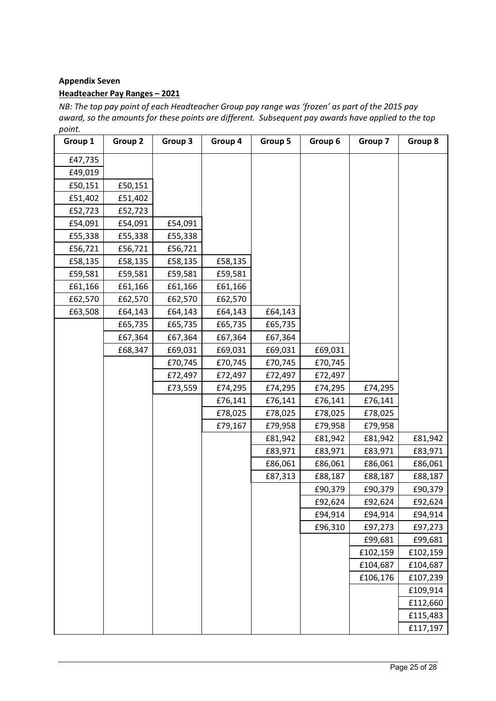## **Appendix Seven**

#### **Headteacher Pay Ranges – 2021**

*NB: The top pay point of each Headteacher Group pay range was 'frozen' as part of the 2015 pay award, so the amounts for these points are different. Subsequent pay awards have applied to the top point.*

| Group 1 | Group 2 | Group 3 | Group 4 | Group 5 | Group 6 | Group 7  | Group 8  |
|---------|---------|---------|---------|---------|---------|----------|----------|
| £47,735 |         |         |         |         |         |          |          |
| £49,019 |         |         |         |         |         |          |          |
| £50,151 | £50,151 |         |         |         |         |          |          |
| £51,402 | £51,402 |         |         |         |         |          |          |
| £52,723 | £52,723 |         |         |         |         |          |          |
| £54,091 | £54,091 | £54,091 |         |         |         |          |          |
| £55,338 | £55,338 | £55,338 |         |         |         |          |          |
| £56,721 | £56,721 | £56,721 |         |         |         |          |          |
| £58,135 | £58,135 | £58,135 | £58,135 |         |         |          |          |
| £59,581 | £59,581 | £59,581 | £59,581 |         |         |          |          |
| £61,166 | £61,166 | £61,166 | £61,166 |         |         |          |          |
| £62,570 | £62,570 | £62,570 | £62,570 |         |         |          |          |
| £63,508 | £64,143 | £64,143 | £64,143 | £64,143 |         |          |          |
|         | £65,735 | £65,735 | £65,735 | £65,735 |         |          |          |
|         | £67,364 | £67,364 | £67,364 | £67,364 |         |          |          |
|         | £68,347 | £69,031 | £69,031 | £69,031 | £69,031 |          |          |
|         |         | £70,745 | £70,745 | £70,745 | £70,745 |          |          |
|         |         | £72,497 | £72,497 | £72,497 | £72,497 |          |          |
|         |         | £73,559 | £74,295 | £74,295 | £74,295 | £74,295  |          |
|         |         |         | £76,141 | £76,141 | £76,141 | £76,141  |          |
|         |         |         | £78,025 | £78,025 | £78,025 | £78,025  |          |
|         |         |         | £79,167 | £79,958 | £79,958 | £79,958  |          |
|         |         |         |         | £81,942 | £81,942 | £81,942  | £81,942  |
|         |         |         |         | £83,971 | £83,971 | £83,971  | £83,971  |
|         |         |         |         | £86,061 | £86,061 | £86,061  | £86,061  |
|         |         |         |         | £87,313 | £88,187 | £88,187  | £88,187  |
|         |         |         |         |         | £90,379 | £90,379  | £90,379  |
|         |         |         |         |         | £92,624 | £92,624  | £92,624  |
|         |         |         |         |         | £94,914 | £94,914  | £94,914  |
|         |         |         |         |         | £96,310 | £97,273  | £97,273  |
|         |         |         |         |         |         | £99,681  | £99,681  |
|         |         |         |         |         |         | £102,159 | £102,159 |
|         |         |         |         |         |         | £104,687 | £104,687 |
|         |         |         |         |         |         | £106,176 | £107,239 |
|         |         |         |         |         |         |          | £109,914 |
|         |         |         |         |         |         |          | £112,660 |
|         |         |         |         |         |         |          | £115,483 |
|         |         |         |         |         |         |          | £117,197 |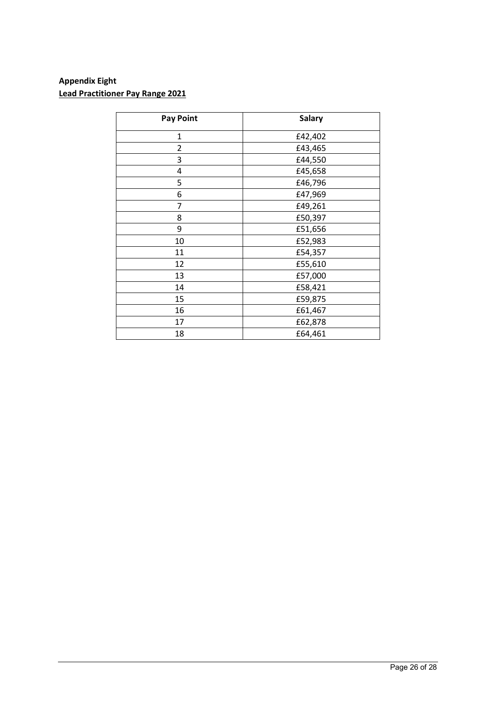# **Appendix Eight Lead Practitioner Pay Range 2021**

| <b>Pay Point</b> | <b>Salary</b> |
|------------------|---------------|
| 1                | £42,402       |
| 2                | £43,465       |
| 3                | £44,550       |
| 4                | £45,658       |
| 5                | £46,796       |
| 6                | £47,969       |
| 7                | £49,261       |
| 8                | £50,397       |
| 9                | £51,656       |
| 10               | £52,983       |
| 11               | £54,357       |
| 12               | £55,610       |
| 13               | £57,000       |
| 14               | £58,421       |
| 15               | £59,875       |
| 16               | £61,467       |
| 17               | £62,878       |
| 18               | £64,461       |